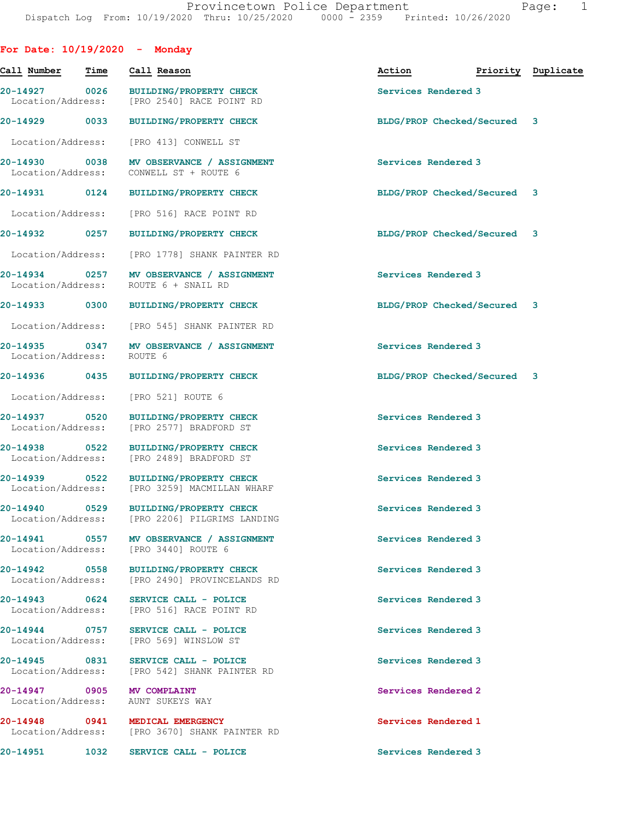| For Date: $10/19/2020 -$ Monday    |      |                                                                                        |                             |                    |
|------------------------------------|------|----------------------------------------------------------------------------------------|-----------------------------|--------------------|
| Call Number                        | Time | Call Reason                                                                            | Action                      | Priority Duplicate |
| 20-14927 0026<br>Location/Address: |      | <b>BUILDING/PROPERTY CHECK</b><br>[PRO 2540] RACE POINT RD                             | Services Rendered 3         |                    |
| 20-14929 0033                      |      | <b>BUILDING/PROPERTY CHECK</b>                                                         | BLDG/PROP Checked/Secured 3 |                    |
| Location/Address:                  |      | [PRO 413] CONWELL ST                                                                   |                             |                    |
| 20-14930 0038<br>Location/Address: |      | MV OBSERVANCE / ASSIGNMENT<br>CONWELL ST + ROUTE 6                                     | Services Rendered 3         |                    |
| 20-14931 0124                      |      | <b>BUILDING/PROPERTY CHECK</b>                                                         | BLDG/PROP Checked/Secured 3 |                    |
| Location/Address:                  |      | [PRO 516] RACE POINT RD                                                                |                             |                    |
| 20-14932 0257                      |      | <b>BUILDING/PROPERTY CHECK</b>                                                         | BLDG/PROP Checked/Secured 3 |                    |
| Location/Address:                  |      | [PRO 1778] SHANK PAINTER RD                                                            |                             |                    |
| 20-14934 0257<br>Location/Address: |      | MV OBSERVANCE / ASSIGNMENT<br>ROUTE 6 + SNAIL RD                                       | Services Rendered 3         |                    |
| 20-14933 0300                      |      | <b>BUILDING/PROPERTY CHECK</b>                                                         | BLDG/PROP Checked/Secured 3 |                    |
| Location/Address:                  |      | [PRO 545] SHANK PAINTER RD                                                             |                             |                    |
| 20-14935 0347<br>Location/Address: |      | MV OBSERVANCE / ASSIGNMENT<br>ROUTE 6                                                  | Services Rendered 3         |                    |
| 20-14936 2014                      | 0435 | <b>BUILDING/PROPERTY CHECK</b>                                                         | BLDG/PROP Checked/Secured 3 |                    |
| Location/Address:                  |      | [PRO 521] ROUTE 6                                                                      |                             |                    |
| 20-14937 0520<br>Location/Address: |      | <b>BUILDING/PROPERTY CHECK</b><br>[PRO 2577] BRADFORD ST                               | Services Rendered 3         |                    |
| 20-14938 0522<br>Location/Address: |      | <b>BUILDING/PROPERTY CHECK</b><br>[PRO 2489] BRADFORD ST                               | Services Rendered 3         |                    |
| 20-14939 0522<br>Location/Address: |      | <b>BUILDING/PROPERTY CHECK</b><br>[PRO 3259] MACMILLAN WHARF                           | Services Rendered 3         |                    |
| 20-14940 0529                      |      | <b>BUILDING/PROPERTY CHECK</b><br>Location/Address: [PRO 2206] PILGRIMS LANDING        | Services Rendered 3         |                    |
|                                    |      | 20-14941 0557 MV OBSERVANCE / ASSIGNMENT<br>Location/Address: [PRO 3440] ROUTE 6       | Services Rendered 3         |                    |
|                                    |      | 20-14942 0558 BUILDING/PROPERTY CHECK<br>Location/Address: [PRO 2490] PROVINCELANDS RD | Services Rendered 3         |                    |
|                                    |      | 20-14943 0624 SERVICE CALL - POLICE<br>Location/Address: [PRO 516] RACE POINT RD       | Services Rendered 3         |                    |
|                                    |      | 20-14944 0757 SERVICE CALL - POLICE<br>Location/Address: [PRO 569] WINSLOW ST          | Services Rendered 3         |                    |
| Location/Address:                  |      | 20-14945 0831 SERVICE CALL - POLICE<br>[PRO 542] SHANK PAINTER RD                      | Services Rendered 3         |                    |
|                                    |      | 20-14947 0905 MV COMPLAINT<br>Location/Address: AUNT SUKEYS WAY                        | Services Rendered 2         |                    |
|                                    |      | 20-14948 0941 MEDICAL EMERGENCY<br>Location/Address: [PRO 3670] SHANK PAINTER RD       | Services Rendered 1         |                    |
|                                    |      | 20-14951 1032 SERVICE CALL - POLICE                                                    | Services Rendered 3         |                    |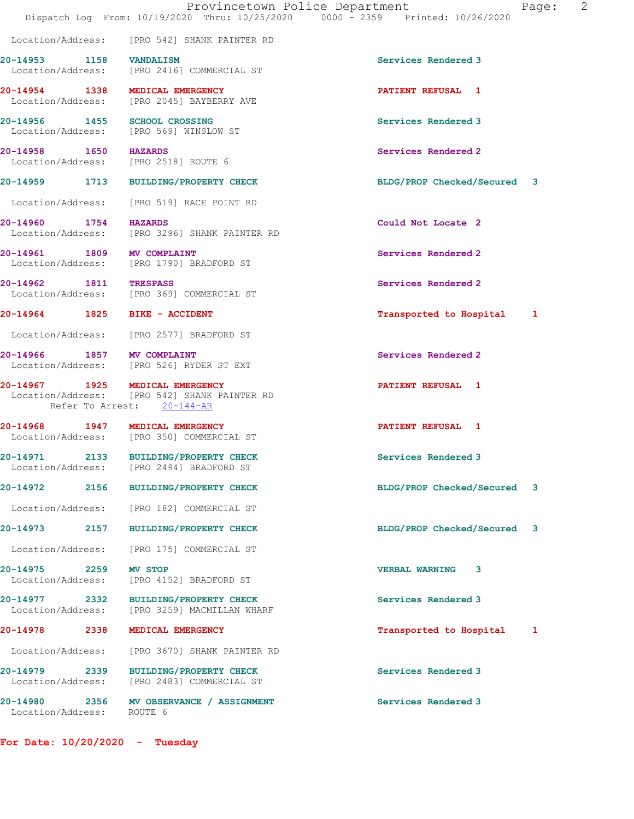|                                       | Dispatch Log From: 10/19/2020 Thru: 10/25/2020 0000 - 2359 Printed: 10/26/2020                                | Provincetown Police Department<br>Page: | 2 |
|---------------------------------------|---------------------------------------------------------------------------------------------------------------|-----------------------------------------|---|
|                                       | Location/Address: [PRO 542] SHANK PAINTER RD                                                                  |                                         |   |
| 20-14953 1158 VANDALISM               | Location/Address: [PRO 2416] COMMERCIAL ST                                                                    | Services Rendered 3                     |   |
|                                       | 20-14954 1338 MEDICAL EMERGENCY<br>Location/Address: [PRO 2045] BAYBERRY AVE                                  | <b>PATIENT REFUSAL 1</b>                |   |
| 20-14956 1455 SCHOOL CROSSING         | Location/Address: [PRO 569] WINSLOW ST                                                                        | Services Rendered 3                     |   |
| 20-14958 1650 HAZARDS                 | Location/Address: [PRO 2518] ROUTE 6                                                                          | Services Rendered 2                     |   |
|                                       | 20-14959 1713 BUILDING/PROPERTY CHECK                                                                         | BLDG/PROP Checked/Secured 3             |   |
| Location/Address:                     | [PRO 519] RACE POINT RD                                                                                       |                                         |   |
| 20-14960 1754 HAZARDS                 | Location/Address: [PRO 3296] SHANK PAINTER RD                                                                 | Could Not Locate 2                      |   |
| 20-14961 1809 MV COMPLAINT            | Location/Address: [PRO 1790] BRADFORD ST                                                                      | Services Rendered 2                     |   |
| 20-14962 1811 TRESPASS                | Location/Address: [PRO 369] COMMERCIAL ST                                                                     | Services Rendered 2                     |   |
| 20-14964 1825 BIKE - ACCIDENT         |                                                                                                               | Transported to Hospital 1               |   |
|                                       | Location/Address: [PRO 2577] BRADFORD ST                                                                      |                                         |   |
| 20-14966 1857 MV COMPLAINT            | Location/Address: [PRO 526] RYDER ST EXT                                                                      | Services Rendered 2                     |   |
|                                       | 20-14967 1925 MEDICAL EMERGENCY<br>Location/Address: [PRO 542] SHANK PAINTER RD<br>Refer To Arrest: 20-144-AR | <b>PATIENT REFUSAL 1</b>                |   |
|                                       | 20-14968 1947 MEDICAL EMERGENCY<br>Location/Address: [PRO 350] COMMERCIAL ST                                  | <b>PATIENT REFUSAL 1</b>                |   |
| Location/Address:                     | 20-14971 2133 BUILDING/PROPERTY CHECK<br>[PRO 2494] BRADFORD ST                                               | Services Rendered 3                     |   |
| $20 - 14972$<br>2156                  | <b>BUILDING/PROPERTY CHECK</b>                                                                                | BLDG/PROP Checked/Secured<br>3          |   |
| Location/Address:                     | [PRO 182] COMMERCIAL ST                                                                                       |                                         |   |
| 20-14973<br>2157                      | <b>BUILDING/PROPERTY CHECK</b>                                                                                | BLDG/PROP Checked/Secured 3             |   |
| Location/Address:                     | [PRO 175] COMMERCIAL ST                                                                                       |                                         |   |
| 20-14975 2259<br>Location/Address:    | <b>MV STOP</b><br>[PRO 4152] BRADFORD ST                                                                      | <b>VERBAL WARNING</b><br>3              |   |
| 20-14977 2332<br>Location/Address:    | <b>BUILDING/PROPERTY CHECK</b><br>[PRO 3259] MACMILLAN WHARF                                                  | Services Rendered 3                     |   |
| 20-14978<br>2338                      | MEDICAL EMERGENCY                                                                                             | Transported to Hospital<br>1            |   |
| Location/Address:                     | [PRO 3670] SHANK PAINTER RD                                                                                   |                                         |   |
| Location/Address:                     | <b>BUILDING/PROPERTY CHECK</b><br>[PRO 2483] COMMERCIAL ST                                                    | Services Rendered 3                     |   |
| 20-14980<br>2356<br>Location/Address: | MV OBSERVANCE / ASSIGNMENT<br>ROUTE 6                                                                         | Services Rendered 3                     |   |
|                                       |                                                                                                               |                                         |   |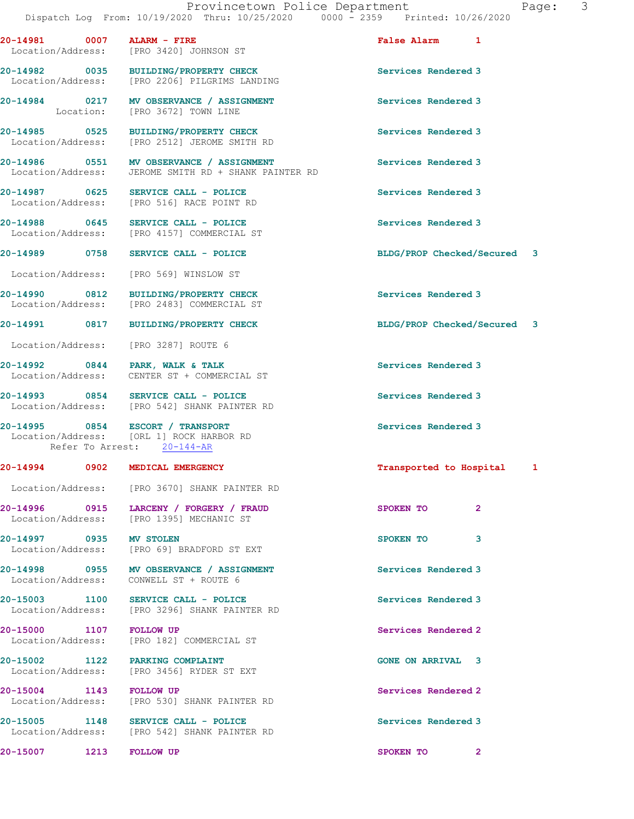| 20-14981 0007 ALARM - FIRE | Location/Address: [PRO 3420] JOHNSON ST                                                                    | False Alarm 1               |                |  |
|----------------------------|------------------------------------------------------------------------------------------------------------|-----------------------------|----------------|--|
|                            | 20-14982 0035 BUILDING/PROPERTY CHECK<br>Location/Address: [PRO 2206] PILGRIMS LANDING                     | Services Rendered 3         |                |  |
|                            | 20-14984 0217 MV OBSERVANCE / ASSIGNMENT<br>Location: [PRO 3672] TOWN LINE                                 | Services Rendered 3         |                |  |
|                            | 20-14985 0525 BUILDING/PROPERTY CHECK<br>Location/Address: [PRO 2512] JEROME SMITH RD                      | Services Rendered 3         |                |  |
|                            | 20-14986 0551 MV OBSERVANCE / ASSIGNMENT<br>Location/Address: JEROME SMITH RD + SHANK PAINTER RD           | Services Rendered 3         |                |  |
|                            | 20-14987 0625 SERVICE CALL - POLICE<br>Location/Address: [PRO 516] RACE POINT RD                           | Services Rendered 3         |                |  |
|                            | 20-14988 0645 SERVICE CALL - POLICE<br>Location/Address: [PRO 4157] COMMERCIAL ST                          | Services Rendered 3         |                |  |
|                            | 20-14989 0758 SERVICE CALL - POLICE                                                                        | BLDG/PROP Checked/Secured 3 |                |  |
|                            | Location/Address: [PRO 569] WINSLOW ST                                                                     |                             |                |  |
|                            | 20-14990 0812 BUILDING/PROPERTY CHECK<br>Location/Address: [PRO 2483] COMMERCIAL ST                        | Services Rendered 3         |                |  |
|                            | 20-14991 0817 BUILDING/PROPERTY CHECK                                                                      | BLDG/PROP Checked/Secured 3 |                |  |
|                            | Location/Address: [PRO 3287] ROUTE 6                                                                       |                             |                |  |
|                            | 20-14992 0844 PARK, WALK & TALK<br>Location/Address: CENTER ST + COMMERCIAL ST                             | Services Rendered 3         |                |  |
|                            | 20-14993 0854 SERVICE CALL - POLICE<br>Location/Address: [PRO 542] SHANK PAINTER RD                        | Services Rendered 3         |                |  |
|                            | 20-14995 0854 ESCORT / TRANSPORT<br>Location/Address: [ORL 1] ROCK HARBOR RD<br>Refer To Arrest: 20-144-AR | Services Rendered 3         |                |  |
|                            | 20-14994 0902 MEDICAL EMERGENCY                                                                            | Transported to Hospital 1   |                |  |
|                            | Location/Address: [PRO 3670] SHANK PAINTER RD                                                              |                             |                |  |
|                            | 20-14996 0915 LARCENY / FORGERY / FRAUD<br>Location/Address: [PRO 1395] MECHANIC ST                        | SPOKEN TO                   | $\overline{2}$ |  |
|                            | 20-14997 0935 MV STOLEN<br>Location/Address: [PRO 69] BRADFORD ST EXT                                      | SPOKEN TO                   | 3              |  |
|                            | 20-14998 0955 MV OBSERVANCE / ASSIGNMENT<br>Location/Address: CONWELL ST + ROUTE 6                         | Services Rendered 3         |                |  |
|                            | 20-15003 1100 SERVICE CALL - POLICE<br>Location/Address: [PRO 3296] SHANK PAINTER RD                       | Services Rendered 3         |                |  |
| 20-15000 1107 FOLLOW UP    | Location/Address: [PRO 182] COMMERCIAL ST                                                                  | Services Rendered 2         |                |  |
|                            | 20-15002 1122 PARKING COMPLAINT<br>Location/Address: [PRO 3456] RYDER ST EXT                               | <b>GONE ON ARRIVAL 3</b>    |                |  |
| 20-15004 1143 FOLLOW UP    | Location/Address: [PRO 530] SHANK PAINTER RD                                                               | Services Rendered 2         |                |  |
|                            | 20-15005 1148 SERVICE CALL - POLICE<br>Location/Address: [PRO 542] SHANK PAINTER RD                        | Services Rendered 3         |                |  |

20-15007 1213 FOLLOW UP 200 SPOKEN TO 2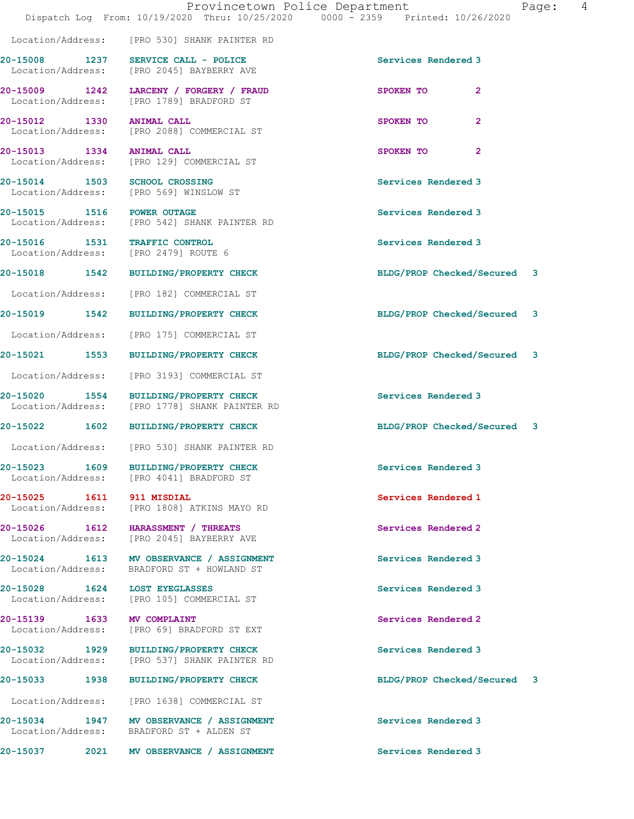|                                                                       | Provincetown Police Department<br>Dispatch Log From: 10/19/2020 Thru: 10/25/2020 0000 - 2359 Printed: 10/26/2020 | 4<br>Page:                  |
|-----------------------------------------------------------------------|------------------------------------------------------------------------------------------------------------------|-----------------------------|
|                                                                       | Location/Address: [PRO 530] SHANK PAINTER RD                                                                     |                             |
|                                                                       | 20-15008 1237 SERVICE CALL - POLICE<br>Location/Address: [PRO 2045] BAYBERRY AVE                                 | Services Rendered 3         |
|                                                                       | 20-15009 1242 LARCENY / FORGERY / FRAUD<br>Location/Address: [PRO 1789] BRADFORD ST                              | SPOKEN TO<br>$\mathbf{2}$   |
| 20-15012 1330 ANIMAL CALL                                             | Location/Address: [PRO 2088] COMMERCIAL ST                                                                       | SPOKEN TO<br>$\mathbf{2}$   |
| 20-15013 1334 ANIMAL CALL                                             | Location/Address: [PRO 129] COMMERCIAL ST                                                                        | SPOKEN TO<br>$\mathbf{2}$   |
|                                                                       | 20-15014 1503 SCHOOL CROSSING<br>Location/Address: [PRO 569] WINSLOW ST                                          | Services Rendered 3         |
|                                                                       | 20-15015 1516 POWER OUTAGE<br>Location/Address: [PRO 542] SHANK PAINTER RD                                       | Services Rendered 3         |
| 20-15016 1531 TRAFFIC CONTROL<br>Location/Address: [PRO 2479] ROUTE 6 |                                                                                                                  | Services Rendered 3         |
|                                                                       | 20-15018 1542 BUILDING/PROPERTY CHECK                                                                            | BLDG/PROP Checked/Secured 3 |
|                                                                       | Location/Address: [PRO 182] COMMERCIAL ST                                                                        |                             |
|                                                                       | 20-15019 1542 BUILDING/PROPERTY CHECK                                                                            | BLDG/PROP Checked/Secured 3 |
|                                                                       | Location/Address: [PRO 175] COMMERCIAL ST                                                                        |                             |
|                                                                       | 20-15021 1553 BUILDING/PROPERTY CHECK                                                                            | BLDG/PROP Checked/Secured 3 |
| Location/Address:                                                     | [PRO 3193] COMMERCIAL ST                                                                                         |                             |
| 20-15020                                                              | 1554 BUILDING/PROPERTY CHECK<br>Location/Address: [PRO 1778] SHANK PAINTER RD                                    | Services Rendered 3         |
|                                                                       | 20-15022 1602 BUILDING/PROPERTY CHECK                                                                            | BLDG/PROP Checked/Secured 3 |
|                                                                       | Location/Address: [PRO 530] SHANK PAINTER RD                                                                     |                             |
|                                                                       | 20-15023 1609 BUILDING/PROPERTY CHECK<br>Location/Address: [PRO 4041] BRADFORD ST                                | Services Rendered 3         |
| 20-15025 1611                                                         | 911 MISDIAL<br>Location/Address: [PRO 1808] ATKINS MAYO RD                                                       | Services Rendered 1         |
|                                                                       | 20-15026 1612 HARASSMENT / THREATS<br>Location/Address: [PRO 2045] BAYBERRY AVE                                  | Services Rendered 2         |
| Location/Address:                                                     | 20-15024 1613 MV OBSERVANCE / ASSIGNMENT<br>BRADFORD ST + HOWLAND ST                                             | Services Rendered 3         |
| 20-15028 1624 LOST EYEGLASSES                                         | Location/Address: [PRO 105] COMMERCIAL ST                                                                        | Services Rendered 3         |
| 20-15139 1633 MV COMPLAINT<br>Location/Address:                       | [PRO 69] BRADFORD ST EXT                                                                                         | Services Rendered 2         |
|                                                                       | 20-15032 1929 BUILDING/PROPERTY CHECK<br>Location/Address: [PRO 537] SHANK PAINTER RD                            | Services Rendered 3         |
|                                                                       | 20-15033 1938 BUILDING/PROPERTY CHECK                                                                            | BLDG/PROP Checked/Secured 3 |
|                                                                       | Location/Address: [PRO 1638] COMMERCIAL ST                                                                       |                             |
|                                                                       | 20-15034 1947 MV OBSERVANCE / ASSIGNMENT<br>Location/Address: BRADFORD ST + ALDEN ST                             | Services Rendered 3         |
| 20-15037                                                              | 2021 MV OBSERVANCE / ASSIGNMENT                                                                                  | Services Rendered 3         |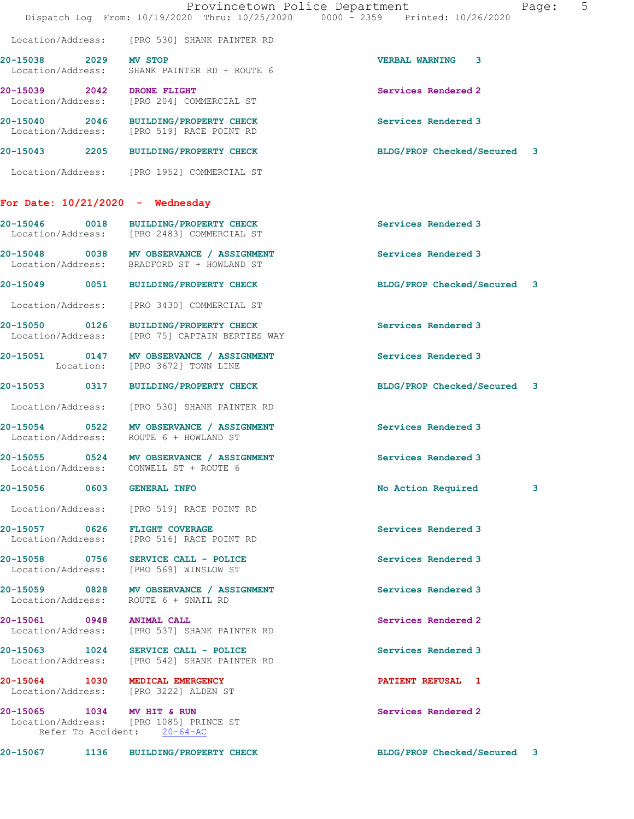|                                    | Provincetown Police Department<br>Dispatch Log From: 10/19/2020 Thru: 10/25/2020 0000 - 2359 Printed: 10/26/2020 | Page:                       | $5^{\circ}$ |
|------------------------------------|------------------------------------------------------------------------------------------------------------------|-----------------------------|-------------|
|                                    | Location/Address: [PRO 530] SHANK PAINTER RD                                                                     |                             |             |
| 20-15038 2029 MV STOP              | Location/Address: SHANK PAINTER RD + ROUTE 6                                                                     | <b>VERBAL WARNING 3</b>     |             |
| 20-15039 2042 DRONE FLIGHT         | Location/Address: [PRO 204] COMMERCIAL ST                                                                        | Services Rendered 2         |             |
|                                    | 20-15040 2046 BUILDING/PROPERTY CHECK<br>Location/Address: [PRO 519] RACE POINT RD                               | Services Rendered 3         |             |
|                                    | 20-15043 2205 BUILDING/PROPERTY CHECK                                                                            | BLDG/PROP Checked/Secured 3 |             |
|                                    | Location/Address: [PRO 1952] COMMERCIAL ST                                                                       |                             |             |
| For Date: $10/21/2020 -$ Wednesday |                                                                                                                  |                             |             |
|                                    | 20-15046 0018 BUILDING/PROPERTY CHECK<br>Location/Address: [PRO 2483] COMMERCIAL ST                              | Services Rendered 3         |             |
| Location/Address:                  | 20-15048 0038 MV OBSERVANCE / ASSIGNMENT<br>BRADFORD ST + HOWLAND ST                                             | Services Rendered 3         |             |
|                                    | 20-15049 0051 BUILDING/PROPERTY CHECK                                                                            | BLDG/PROP Checked/Secured 3 |             |
|                                    | Location/Address: [PRO 3430] COMMERCIAL ST                                                                       |                             |             |
|                                    | 20-15050 0126 BUILDING/PROPERTY CHECK<br>Location/Address: [PRO 75] CAPTAIN BERTIES WAY                          | Services Rendered 3         |             |
|                                    | 20-15051 0147 MV OBSERVANCE / ASSIGNMENT<br>Location: [PRO 3672] TOWN LINE                                       | Services Rendered 3         |             |
|                                    | 20-15053 0317 BUILDING/PROPERTY CHECK                                                                            | BLDG/PROP Checked/Secured 3 |             |
|                                    | Location/Address: [PRO 530] SHANK PAINTER RD                                                                     |                             |             |
| Location/Address:                  | 20-15054 0522 MV OBSERVANCE / ASSIGNMENT<br>ROUTE 6 + HOWLAND ST                                                 | Services Rendered 3         |             |
|                                    | 20-15055 0524 MV OBSERVANCE / ASSIGNMENT<br>Location/Address: CONWELL ST + ROUTE 6                               | Services Rendered 3         |             |
| 20-15056 0603 GENERAL INFO         |                                                                                                                  | No Action Required<br>3     |             |
|                                    | Location/Address: [PRO 519] RACE POINT RD                                                                        |                             |             |
|                                    | 20-15057 0626 FLIGHT COVERAGE<br>Location/Address: [PRO 516] RACE POINT RD                                       | Services Rendered 3         |             |
|                                    | 20-15058 0756 SERVICE CALL - POLICE<br>Location/Address: [PRO 569] WINSLOW ST                                    | Services Rendered 3         |             |
|                                    | 20-15059 0828 MV OBSERVANCE / ASSIGNMENT<br>Location/Address: ROUTE 6 + SNAIL RD                                 | Services Rendered 3         |             |
| 20-15061 0948 ANIMAL CALL          | Location/Address: [PRO 537] SHANK PAINTER RD                                                                     | Services Rendered 2         |             |
|                                    | 20-15063 1024 SERVICE CALL - POLICE<br>Location/Address: [PRO 542] SHANK PAINTER RD                              | Services Rendered 3         |             |
| 20-15064 1030 MEDICAL EMERGENCY    | Location/Address: [PRO 3222] ALDEN ST                                                                            | <b>PATIENT REFUSAL 1</b>    |             |
| 20-15065 1034 MV HIT & RUN         | Location/Address: [PRO 1085] PRINCE ST<br>Refer To Accident: 20-64-AC                                            | Services Rendered 2         |             |
|                                    | 20-15067 1136 BUILDING/PROPERTY CHECK                                                                            | BLDG/PROP Checked/Secured 3 |             |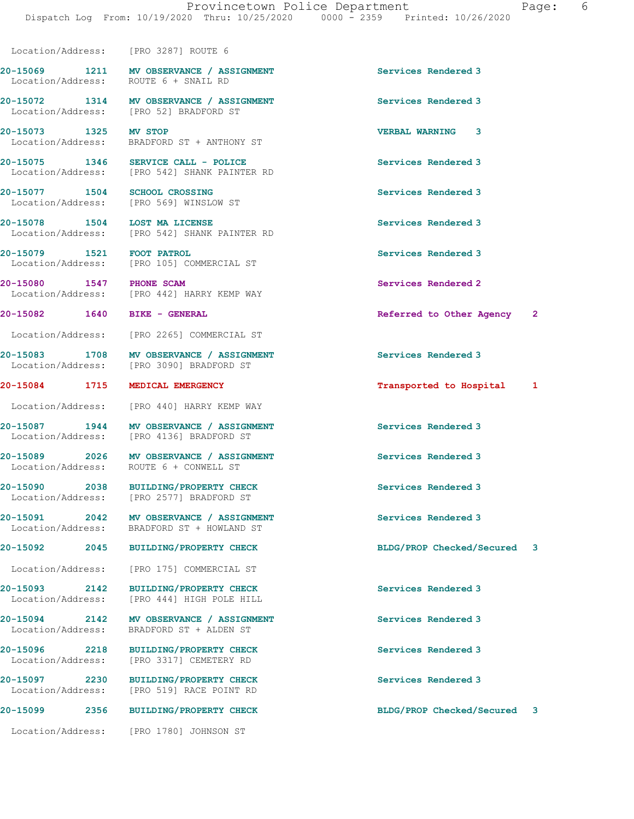Location/Address: [PRO 3287] ROUTE 6

Location/Address:

20-15069 1211 MV OBSERVANCE / ASSIGNMENT Services Rendered 3 Location/Address: ROUTE 6 + SNAIL RD

20-15072 1314 MV OBSERVANCE / ASSIGNMENT Services Rendered 3 Location/Address: [PRO 52] BRADFORD ST

20-15073 1325 MV STOP 120-15073 1325 MV STOP 10001 VERBAL WARNING 3 BRADFORD ST + ANTHONY ST

20-15075 1346 SERVICE CALL - POLICE Services Rendered 3 Location/Address: [PRO 542] SHANK PAINTER RD

20-15077 1504 SCHOOL CROSSING Services Rendered 3 Location/Address: [PRO 569] WINSLOW ST

20-15078 1504 LOST MA LICENSE Services Rendered 3 Location/Address: [PRO 542] SHANK PAINTER RD

20-15079 1521 FOOT PATROL 20-1507 Services Rendered 3 Location/Address: [PRO 105] COMMERCIAL ST

20-15080 1547 PHONE SCAM Services Rendered 2 Location/Address: [PRO 442] HARRY KEMP WAY

Location/Address: [PRO 2265] COMMERCIAL ST

20-15083 1708 MV OBSERVANCE / ASSIGNMENT Services Rendered 3 Location/Address: [PRO 3090] BRADFORD ST

Location/Address: [PRO 440] HARRY KEMP WAY

20-15087 1944 MV OBSERVANCE / ASSIGNMENT Services Rendered 3<br>
Location/Address: [PRO 4136] BRADFORD ST [PRO 4136] BRADFORD ST

20-15089 2026 MV OBSERVANCE / ASSIGNMENT Services Rendered 3 Location/Address: ROUTE 6 + CONWELL ST

20-15090 2038 BUILDING/PROPERTY CHECK Services Rendered 3 Location/Address: [PRO 2577] BRADFORD ST

20-15091 2042 MV OBSERVANCE / ASSIGNMENT Services Rendered 3<br>
Location/Address: BRADFORD ST + HOWLAND ST Location/Address: BRADFORD ST + HOWLAND ST

Location/Address: [PRO 175] COMMERCIAL ST

20-15093 2142 BUILDING/PROPERTY CHECK Services Rendered 3

20-15094 2142 MV OBSERVANCE / ASSIGNMENT Services Rendered 3 Location/Address: BRADFORD ST + ALDEN ST

20-15096 2218 BUILDING/PROPERTY CHECK Services Rendered 3 Location/Address: [PRO 3317] CEMETERY RD

20-15097 2230 BUILDING/PROPERTY CHECK Services Rendered 3 Location/Address: [PRO 519] RACE POINT RD

20-15099 2356 BUILDING/PROPERTY CHECK BLDG/PROP Checked/Secured 3

Location/Address: [PRO 1780] JOHNSON ST

20-15082 1640 BIKE - GENERAL Referred to Other Agency 2

20-15084 1715 MEDICAL EMERGENCY Transported to Hospital 1

20-15092 2045 BUILDING/PROPERTY CHECK BLDG/PROP Checked/Secured 3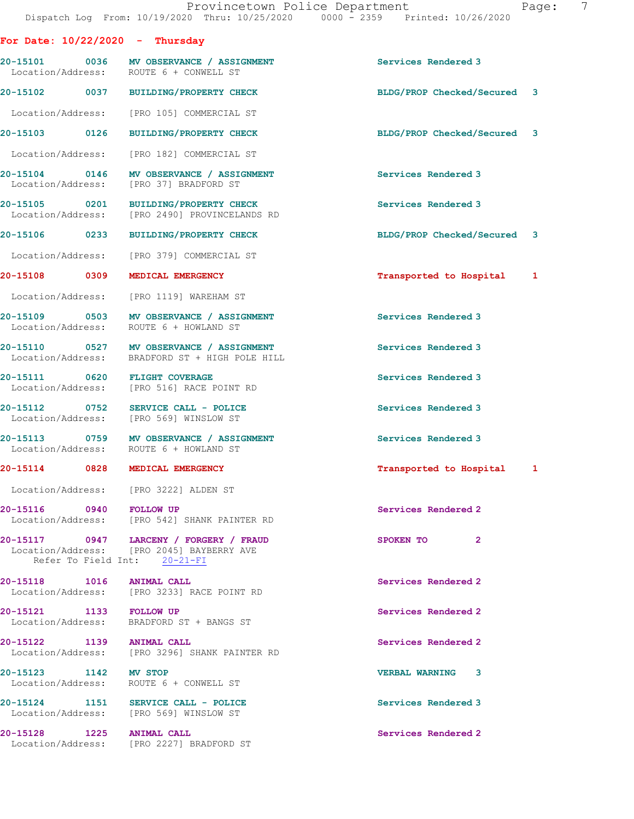| For Date: $10/22/2020 -$ Thursday |                                                                                            |                             |
|-----------------------------------|--------------------------------------------------------------------------------------------|-----------------------------|
|                                   | 20-15101 0036 MV OBSERVANCE / ASSIGNMENT<br>Location/Address: ROUTE 6 + CONWELL ST         | Services Rendered 3         |
|                                   | 20-15102 0037 BUILDING/PROPERTY CHECK                                                      | BLDG/PROP Checked/Secured 3 |
|                                   | Location/Address: [PRO 105] COMMERCIAL ST                                                  |                             |
|                                   | 20-15103 0126 BUILDING/PROPERTY CHECK                                                      | BLDG/PROP Checked/Secured 3 |
|                                   | Location/Address: [PRO 182] COMMERCIAL ST                                                  |                             |
|                                   | 20-15104 0146 MV OBSERVANCE / ASSIGNMENT<br>Location/Address: [PRO 37] BRADFORD ST         | Services Rendered 3         |
|                                   | 20-15105 0201 BUILDING/PROPERTY CHECK<br>Location/Address: [PRO 2490] PROVINCELANDS RD     | Services Rendered 3         |
|                                   | 20-15106 0233 BUILDING/PROPERTY CHECK                                                      | BLDG/PROP Checked/Secured 3 |
|                                   | Location/Address: [PRO 379] COMMERCIAL ST                                                  |                             |
| 20-15108 0309 MEDICAL EMERGENCY   |                                                                                            | Transported to Hospital 1   |
|                                   | Location/Address: [PRO 1119] WAREHAM ST                                                    |                             |
|                                   | 20-15109 0503 MV OBSERVANCE / ASSIGNMENT<br>Location/Address: ROUTE 6 + HOWLAND ST         | Services Rendered 3         |
|                                   | 20-15110 0527 MV OBSERVANCE / ASSIGNMENT<br>Location/Address: BRADFORD ST + HIGH POLE HILL | Services Rendered 3         |
| 20-15111 0620 FLIGHT COVERAGE     | Location/Address: [PRO 516] RACE POINT RD                                                  | Services Rendered 3         |
|                                   | 20-15112 0752 SERVICE CALL - POLICE<br>Location/Address: [PRO 569] WINSLOW ST              | Services Rendered 3         |
|                                   | 20-15113 0759 MV OBSERVANCE / ASSIGNMENT<br>Location/Address: ROUTE 6 + HOWLAND ST         | Services Rendered 3         |

# 20-15114 0828 MEDICAL EMERGENCY **1200 CONTACT 1200 PERIODE 1200** Transported to Hospital 1

Location/Address: [PRO 3222] ALDEN ST

20-15116 0940 FOLLOW UP Services Rendered 2 Location/Address: [PRO 542] SHANK PAINTER RD

20-15117 0947 LARCENY / FORGERY / FRAUD SPOKEN TO 2 Location/Address: [PRO 2045] BAYBERRY AVE Refer To Field Int: 20-21-FI

20-15118 1016 ANIMAL CALL 20-15118 Services Rendered 2 Location/Address: [PRO 3233] RACE POINT RD

20-15121 1133 FOLLOW UP Services Rendered 2 Location/Address: BRADFORD ST + BANGS ST

20-15122 1139 ANIMAL CALL 20-15122 Services Rendered 2 Location/Address: [PRO 3296] SHANK PAINTER RD

20-15123 1142 MV STOP 120 20 20 20 20 20 20 20 21 22 20 21 22 20 21 22 22 23 23 24 25 26 27 27 28 29 20 21 22 Location/Address: ROUTE 6 + CONWELL ST

20-15124 1151 SERVICE CALL - POLICE 1151 Services Rendered 3 Location/Address: [PRO 569] WINSLOW ST

20-15128 1225 ANIMAL CALL **120 CONTROL** Services Rendered 2 Location/Address: [PRO 2227] BRADFORD ST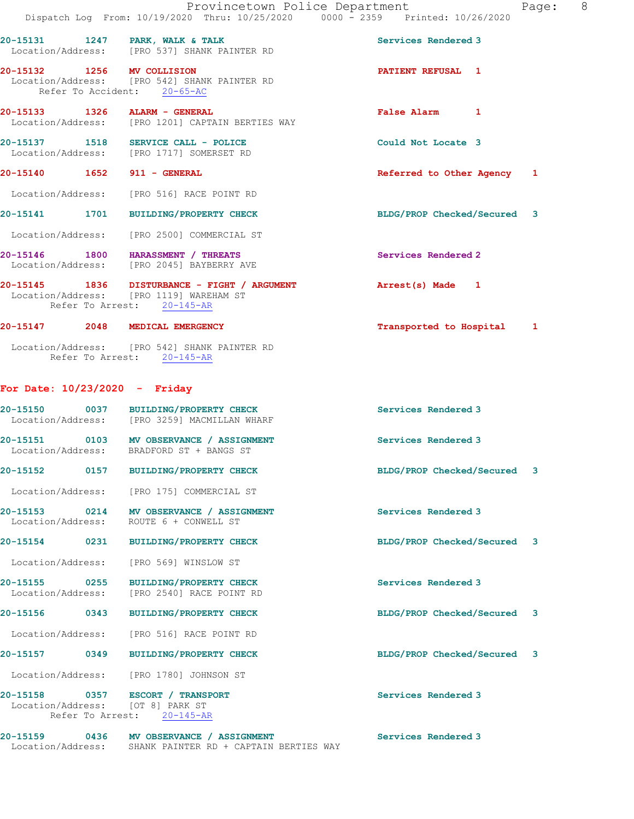|                               |                                                                                                                       | Provincetown Police Department<br>Page:                                        | 8 |
|-------------------------------|-----------------------------------------------------------------------------------------------------------------------|--------------------------------------------------------------------------------|---|
|                               |                                                                                                                       | Dispatch Log From: 10/19/2020 Thru: 10/25/2020 0000 - 2359 Printed: 10/26/2020 |   |
|                               | 20-15131 1247 PARK, WALK & TALK<br>Location/Address: [PRO 537] SHANK PAINTER RD                                       | Services Rendered 3                                                            |   |
| 20-15132 1256 MV COLLISION    | Location/Address: [PRO 542] SHANK PAINTER RD<br>Refer To Accident: 20-65-AC                                           | PATIENT REFUSAL 1                                                              |   |
| 20-15133 1326 ALARM - GENERAL | Location/Address: [PRO 1201] CAPTAIN BERTIES WAY                                                                      | False Alarm 1                                                                  |   |
|                               | 20-15137 1518 SERVICE CALL - POLICE<br>Location/Address: [PRO 1717] SOMERSET RD                                       | Could Not Locate 3                                                             |   |
|                               |                                                                                                                       | Referred to Other Agency 1                                                     |   |
|                               | Location/Address: [PRO 516] RACE POINT RD                                                                             |                                                                                |   |
|                               | 20-15141 1701 BUILDING/PROPERTY CHECK                                                                                 | BLDG/PROP Checked/Secured 3                                                    |   |
|                               | Location/Address: [PRO 2500] COMMERCIAL ST                                                                            |                                                                                |   |
|                               | 20-15146 1800 HARASSMENT / THREATS<br>Location/Address: [PRO 2045] BAYBERRY AVE                                       | Services Rendered 2                                                            |   |
|                               | 20-15145 1836 DISTURBANCE - FIGHT / ARGUMENT<br>Location/Address: [PRO 1119] WAREHAM ST<br>Refer To Arrest: 20-145-AR | Arrest(s) Made 1                                                               |   |

# 20-15147 2048 MEDICAL EMERGENCY **120-15147** 2048 1

 Location/Address: [PRO 542] SHANK PAINTER RD Refer To Arrest: 20-145-AR

Location/Address: SHANK PAINTER RD + CAPTAIN BERTIES WAY

# For Date: 10/23/2020 - Friday

| Location/Address:                  |      | 20-15150 0037 BUILDING/PROPERTY CHECK<br>[PRO 3259] MACMILLAN WHARF                                | Services Rendered 3         |  |
|------------------------------------|------|----------------------------------------------------------------------------------------------------|-----------------------------|--|
| 20-15151 0103<br>Location/Address: |      | MV OBSERVANCE / ASSIGNMENT<br>BRADFORD ST + BANGS ST                                               | Services Rendered 3         |  |
| 20-15152 0157                      |      | <b>BUILDING/PROPERTY CHECK</b>                                                                     | BLDG/PROP Checked/Secured 3 |  |
| Location/Address:                  |      | [PRO 175] COMMERCIAL ST                                                                            |                             |  |
| 20-15153 0214                      |      | MV OBSERVANCE / ASSIGNMENT<br>Location/Address: ROUTE 6 + CONWELL ST                               | Services Rendered 3         |  |
| 20-15154 0231                      |      | <b>BUILDING/PROPERTY CHECK</b>                                                                     | BLDG/PROP Checked/Secured 3 |  |
| Location/Address:                  |      | [PRO 569] WINSLOW ST                                                                               |                             |  |
| 20-15155 0255<br>Location/Address: |      | <b>BUILDING/PROPERTY CHECK</b><br>[PRO 2540] RACE POINT RD                                         | Services Rendered 3         |  |
| 20-15156 0343                      |      | <b>BUILDING/PROPERTY CHECK</b>                                                                     | BLDG/PROP Checked/Secured 3 |  |
| Location/Address:                  |      | [PRO 516] RACE POINT RD                                                                            |                             |  |
| 20-15157 0349                      |      | <b>BUILDING/PROPERTY CHECK</b>                                                                     | BLDG/PROP Checked/Secured 3 |  |
|                                    |      | Location/Address: [PRO 1780] JOHNSON ST                                                            |                             |  |
|                                    |      | 20-15158 0357 ESCORT / TRANSPORT<br>Location/Address: [OT 8] PARK ST<br>Refer To Arrest: 20-145-AR | Services Rendered 3         |  |
| 20-15159                           | 0436 | MV OBSERVANCE / ASSIGNMENT                                                                         | Services Rendered 3         |  |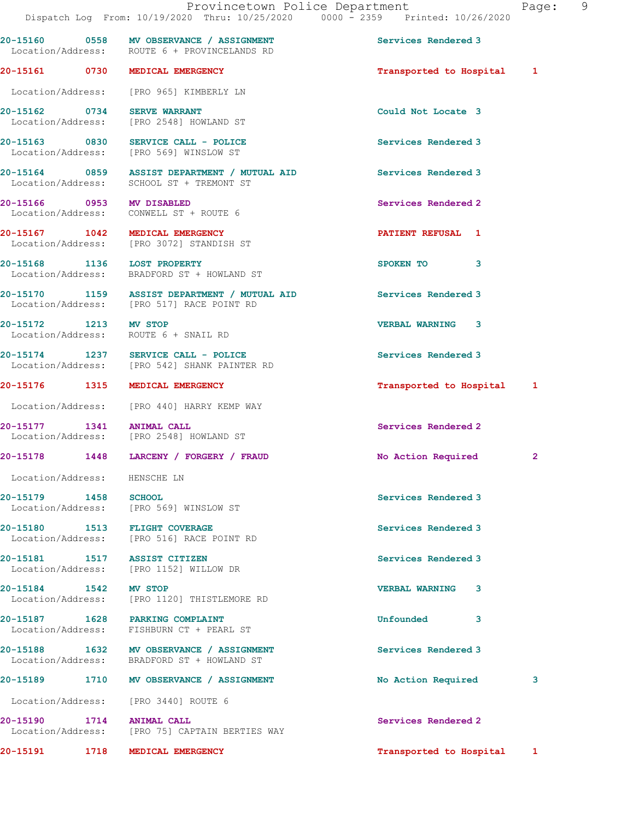20-15160 0558 MV OBSERVANCE / ASSIGNMENT Services Rendered 3

| aqe |  |  |
|-----|--|--|
|     |  |  |

 Location/Address: ROUTE 6 + PROVINCELANDS RD 20-15161 0730 MEDICAL EMERGENCY Transported to Hospital 1 Location/Address: [PRO 965] KIMBERLY LN 20-15162 0734 SERVE WARRANT **Could Not Locate 3**  Location/Address: [PRO 2548] HOWLAND ST 20-15163 0830 SERVICE CALL - POLICE Services Rendered 3 Location/Address: [PRO 569] WINSLOW ST 20-15164 0859 ASSIST DEPARTMENT / MUTUAL AID Services Rendered 3 Location/Address: SCHOOL ST + TREMONT ST 20-15166 0953 MV DISABLED Services Rendered 2 Location/Address: CONWELL ST + ROUTE 6 20-15167 1042 MEDICAL EMERGENCY **PATIENT REFUSAL** 1 Location/Address: [PRO 3072] STANDISH ST 20-15168 1136 LOST PROPERTY **1156 120 SPOKEN** TO 3 Location/Address: BRADFORD ST + HOWLAND ST 20-15170 1159 ASSIST DEPARTMENT / MUTUAL AID Services Rendered 3 Location/Address: [PRO 517] RACE POINT RD 20-15172 1213 MV STOP VERBAL WARNING 3 Location/Address: ROUTE 6 + SNAIL RD 20-15174 1237 SERVICE CALL - POLICE Services Rendered 3 Location/Address: [PRO 542] SHANK PAINTER RD 20-15176 1315 MEDICAL EMERGENCY Transported to Hospital 1 Location/Address: [PRO 440] HARRY KEMP WAY 20-15177 1341 ANIMAL CALL 20-15177 1341 ANIMAL CALL Services Rendered 2 [PRO 2548] HOWLAND ST 20-15178 1448 LARCENY / FORGERY / FRAUD No Action Required 2 Location/Address: HENSCHE LN 20-15179 1458 SCHOOL Services Rendered 3 Location/Address: [PRO 569] WINSLOW ST 20-15180 1513 FLIGHT COVERAGE Services Rendered 3 Location/Address: [PRO 516] RACE POINT RD 20-15181 1517 ASSIST CITIZEN Services Rendered 3 Location/Address: [PRO 1152] WILLOW DR 20-15184 1542 MV STOP 120 20-15184 VERBAL WARNING 3 [PRO 1120] THISTLEMORE RD 20-15187 1628 PARKING COMPLAINT Unfounded 3 Location/Address: FISHBURN CT + PEARL ST 20-15188 1632 MV OBSERVANCE / ASSIGNMENT Services Rendered 3 Location/Address: BRADFORD ST + HOWLAND ST 20-15189 1710 MV OBSERVANCE / ASSIGNMENT No Action Required 3 Location/Address: [PRO 3440] ROUTE 6

20-15190 1714 ANIMAL CALL Services Rendered 2 Location/Address: [PRO 75] CAPTAIN BERTIES WAY

20-15191 1718 MEDICAL EMERGENCY Transported to Hospital 1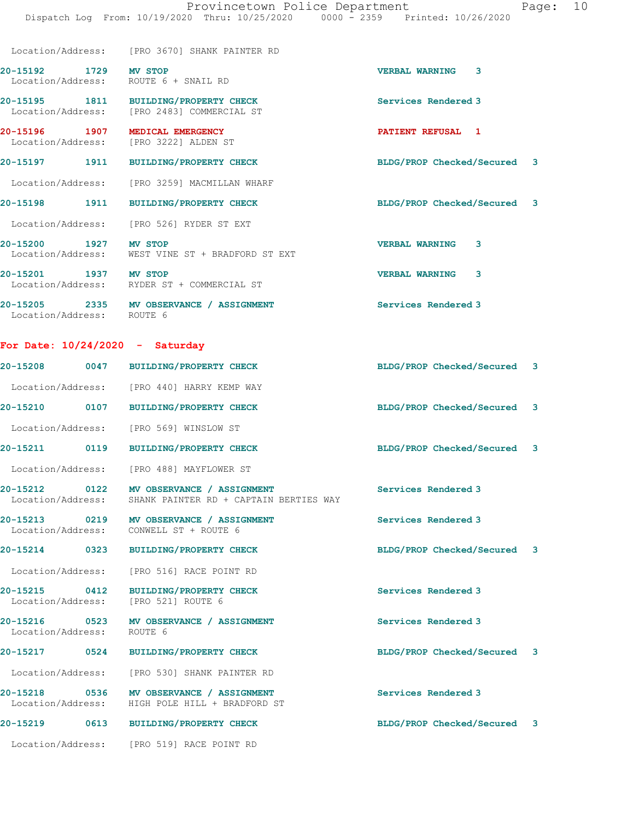Dispatch Log From: 10/19/2020 Thru: 10/25/2020 0000 - 2359 Printed: 10/26/2020

|                                                               | Location/Address: [PRO 3670] SHANK PAINTER RD                                       |                             |   |
|---------------------------------------------------------------|-------------------------------------------------------------------------------------|-----------------------------|---|
| 20-15192 1729 MV STOP<br>Location/Address: ROUTE 6 + SNAIL RD |                                                                                     | <b>VERBAL WARNING</b>       | 3 |
|                                                               | 20-15195 1811 BUILDING/PROPERTY CHECK<br>Location/Address: [PRO 2483] COMMERCIAL ST | Services Rendered 3         |   |
| 20-15196 1907<br>Location/Address: [PRO 3222] ALDEN ST        | MEDICAL EMERGENCY                                                                   | PATIENT REFUSAL 1           |   |
| 20-15197 1911                                                 | <b>BUILDING/PROPERTY CHECK</b>                                                      | BLDG/PROP Checked/Secured 3 |   |
|                                                               | Location/Address: [PRO 3259] MACMILLAN WHARF                                        |                             |   |
| 20-15198 1911                                                 | <b>BUILDING/PROPERTY CHECK</b>                                                      | BLDG/PROP Checked/Secured 3 |   |
|                                                               | Location/Address: [PRO 526] RYDER ST EXT                                            |                             |   |
| 20-15200 1927                                                 | <b>MV STOP</b><br>Location/Address: WEST VINE ST + BRADFORD ST EXT                  | <b>VERBAL WARNING</b>       | 3 |
| 20-15201 1937                                                 | <b>MV STOP</b><br>Location/Address: RYDER ST + COMMERCIAL ST                        | <b>VERBAL WARNING</b>       | 3 |
| Location/Address: ROUTE 6                                     | 20-15205 2335 MV OBSERVANCE / ASSIGNMENT                                            | Services Rendered 3         |   |

# For Date: 10/24/2020 - Saturday

|                                    | 20-15208 0047 BUILDING/PROPERTY CHECK                                                      | BLDG/PROP Checked/Secured 3 |  |
|------------------------------------|--------------------------------------------------------------------------------------------|-----------------------------|--|
|                                    | Location/Address: [PRO 440] HARRY KEMP WAY                                                 |                             |  |
| 20-15210 0107                      | <b>BUILDING/PROPERTY CHECK</b>                                                             | BLDG/PROP Checked/Secured 3 |  |
| Location/Address:                  | [PRO 569] WINSLOW ST                                                                       |                             |  |
| 20-15211 0119                      | <b>BUILDING/PROPERTY CHECK</b>                                                             | BLDG/PROP Checked/Secured 3 |  |
| Location/Address:                  | [PRO 488] MAYFLOWER ST                                                                     |                             |  |
| Location/Address:                  | 20-15212 0122 MV OBSERVANCE / ASSIGNMENT<br>SHANK PAINTER RD + CAPTAIN BERTIES WAY         | Services Rendered 3         |  |
| Location/Address:                  | 20-15213 0219 MV OBSERVANCE / ASSIGNMENT<br>CONWELL ST + ROUTE 6                           | Services Rendered 3         |  |
| 20-15214 0323                      | <b>BUILDING/PROPERTY CHECK</b>                                                             | BLDG/PROP Checked/Secured 3 |  |
| Location/Address:                  | [PRO 516] RACE POINT RD                                                                    |                             |  |
| 20-15215 0412<br>Location/Address: | BUILDING/PROPERTY CHECK<br>[PRO 521] ROUTE 6                                               | Services Rendered 3         |  |
| Location/Address:                  | 20-15216 0523 MV OBSERVANCE / ASSIGNMENT<br>ROUTE 6                                        | Services Rendered 3         |  |
|                                    | 20-15217 0524 BUILDING/PROPERTY CHECK                                                      | BLDG/PROP Checked/Secured 3 |  |
|                                    | Location/Address: [PRO 530] SHANK PAINTER RD                                               |                             |  |
|                                    | 20-15218 0536 MV OBSERVANCE / ASSIGNMENT<br>Location/Address: HIGH POLE HILL + BRADFORD ST | Services Rendered 3         |  |
| 20-15219 0613                      | <b>BUILDING/PROPERTY CHECK</b>                                                             | BLDG/PROP Checked/Secured 3 |  |
| Location/Address:                  | [PRO 519] RACE POINT RD                                                                    |                             |  |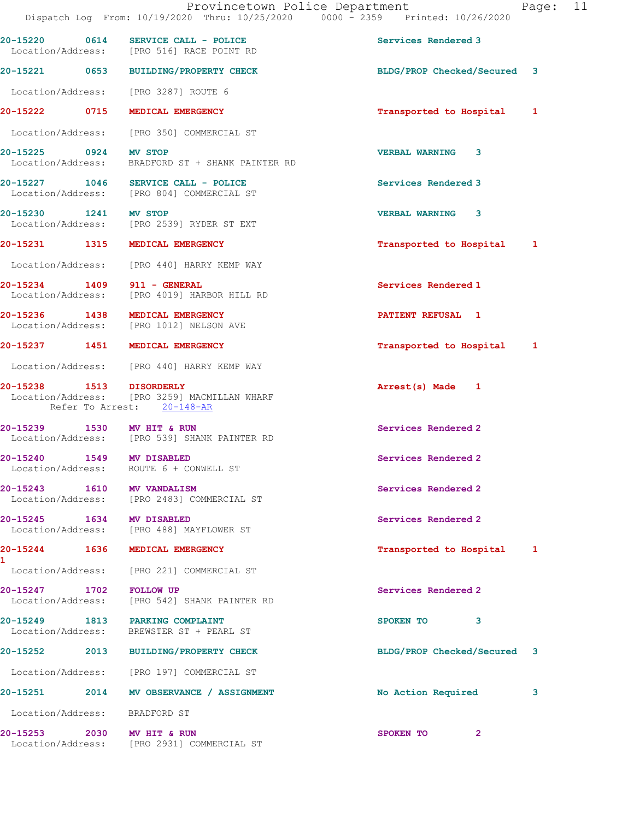|                               | 20-15220 0614 SERVICE CALL - POLICE<br>Location/Address: [PRO 516] RACE POINT RD                       | Services Rendered 3         |
|-------------------------------|--------------------------------------------------------------------------------------------------------|-----------------------------|
|                               | 20-15221 0653 BUILDING/PROPERTY CHECK                                                                  | BLDG/PROP Checked/Secured 3 |
|                               | Location/Address: [PRO 3287] ROUTE 6                                                                   |                             |
| 20-15222 0715                 | MEDICAL EMERGENCY                                                                                      | Transported to Hospital 1   |
|                               | Location/Address: [PRO 350] COMMERCIAL ST                                                              |                             |
| 20-15225 0924 MV STOP         | Location/Address: BRADFORD ST + SHANK PAINTER RD                                                       | <b>VERBAL WARNING 3</b>     |
|                               | 20-15227 1046 SERVICE CALL - POLICE<br>Location/Address: [PRO 804] COMMERCIAL ST                       | Services Rendered 3         |
| 20-15230 1241 MV STOP         | Location/Address: [PRO 2539] RYDER ST EXT                                                              | <b>VERBAL WARNING 3</b>     |
|                               | 20-15231 1315 MEDICAL EMERGENCY                                                                        | Transported to Hospital 1   |
|                               | Location/Address: [PRO 440] HARRY KEMP WAY                                                             |                             |
| 20-15234 1409                 | 911 - GENERAL<br>Location/Address: [PRO 4019] HARBOR HILL RD                                           | Services Rendered 1         |
|                               | 20-15236 1438 MEDICAL EMERGENCY<br>Location/Address: [PRO 1012] NELSON AVE                             | <b>PATIENT REFUSAL 1</b>    |
|                               | 20-15237 1451 MEDICAL EMERGENCY                                                                        | Transported to Hospital 1   |
|                               | Location/Address: [PRO 440] HARRY KEMP WAY                                                             |                             |
|                               | 20-15238 1513 DISORDERLY<br>Location/Address: [PRO 3259] MACMILLAN WHARF<br>Refer To Arrest: 20-148-AR | Arrest(s) Made 1            |
| 20-15239 1530 MV HIT & RUN    | Location/Address: [PRO 539] SHANK PAINTER RD                                                           | Services Rendered 2         |
|                               | 20-15240   1549   MV DISABLED<br>Location/Address: ROUTE 6 + CONWELL ST                                | Services Rendered 2         |
| 20-15243 1610 MV VANDALISM    | Location/Address: [PRO 2483] COMMERCIAL ST                                                             | Services Rendered 2         |
| 20-15245 1634 MV DISABLED     | Location/Address: [PRO 488] MAYFLOWER ST                                                               | Services Rendered 2         |
| 1                             | 20-15244 1636 MEDICAL EMERGENCY                                                                        | Transported to Hospital 1   |
|                               | Location/Address: [PRO 221] COMMERCIAL ST                                                              |                             |
| 20-15247 1702 FOLLOW UP       | Location/Address: [PRO 542] SHANK PAINTER RD                                                           | Services Rendered 2         |
|                               | 20-15249 1813 PARKING COMPLAINT<br>Location/Address: BREWSTER ST + PEARL ST                            | SPOKEN TO<br>3              |
|                               | 20-15252 2013 BUILDING/PROPERTY CHECK                                                                  | BLDG/PROP Checked/Secured 3 |
|                               | Location/Address: [PRO 197] COMMERCIAL ST                                                              |                             |
|                               | 20-15251 2014 MV OBSERVANCE / ASSIGNMENT                                                               | No Action Required<br>3     |
| Location/Address: BRADFORD ST |                                                                                                        |                             |
| 20-15253 2030 MV HIT & RUN    | Location/Address: [PRO 2931] COMMERCIAL ST                                                             | SPOKEN TO<br>$\mathbf{2}$   |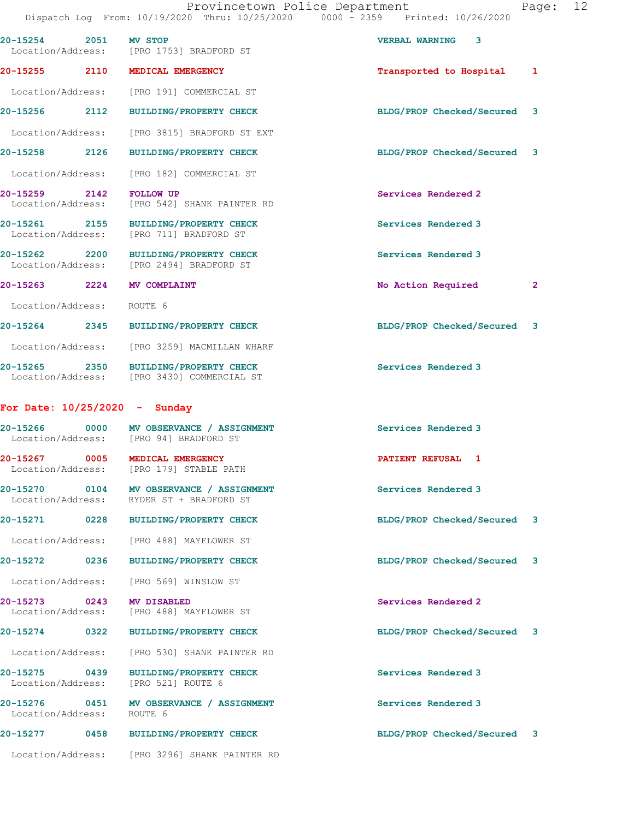|                                       |                                                                                      | Dispatch Log From: 10/19/2020 Thru: 10/25/2020 0000 - 2359 Printed: 10/26/2020 |  |
|---------------------------------------|--------------------------------------------------------------------------------------|--------------------------------------------------------------------------------|--|
| 20-15254 2051                         | <b>MV STOP</b><br>Location/Address: [PRO 1753] BRADFORD ST                           | <b>VERBAL WARNING 3</b>                                                        |  |
|                                       | 20-15255 2110 MEDICAL EMERGENCY                                                      | Transported to Hospital 1                                                      |  |
|                                       | Location/Address: [PRO 191] COMMERCIAL ST                                            |                                                                                |  |
|                                       | 20-15256 2112 BUILDING/PROPERTY CHECK                                                | BLDG/PROP Checked/Secured 3                                                    |  |
|                                       | Location/Address: [PRO 3815] BRADFORD ST EXT                                         |                                                                                |  |
| 2126<br>20-15258                      | <b>BUILDING/PROPERTY CHECK</b>                                                       | BLDG/PROP Checked/Secured 3                                                    |  |
|                                       | Location/Address: [PRO 182] COMMERCIAL ST                                            |                                                                                |  |
| 20-15259 2142                         | <b>FOLLOW UP</b><br>Location/Address: [PRO 542] SHANK PAINTER RD                     | Services Rendered 2                                                            |  |
| 20-15261 2155                         | <b>BUILDING/PROPERTY CHECK</b><br>Location/Address: [PRO 711] BRADFORD ST            | Services Rendered 3                                                            |  |
|                                       | 20-15262 2200 BUILDING/PROPERTY CHECK<br>Location/Address: [PRO 2494] BRADFORD ST    | Services Rendered 3                                                            |  |
| 20-15263 2224 MV COMPLAINT            |                                                                                      | No Action Required<br>$\mathbf{2}$                                             |  |
| Location/Address: ROUTE 6             |                                                                                      |                                                                                |  |
|                                       | 20-15264 2345 BUILDING/PROPERTY CHECK                                                | BLDG/PROP Checked/Secured 3                                                    |  |
|                                       | Location/Address: [PRO 3259] MACMILLAN WHARF                                         |                                                                                |  |
|                                       | 20-15265 2350 BUILDING/PROPERTY CHECK<br>Location/Address: [PRO 3430] COMMERCIAL ST  | Services Rendered 3                                                            |  |
| For Date: $10/25/2020 -$ Sunday       |                                                                                      |                                                                                |  |
|                                       | 20-15266 0000 MV OBSERVANCE / ASSIGNMENT<br>Location/Address: [PRO 94] BRADFORD ST   | Services Rendered 3                                                            |  |
|                                       | 20-15267 0005 MEDICAL EMERGENCY<br>Location/Address: [PRO 179] STABLE PATH           | PATIENT REFUSAL 1                                                              |  |
|                                       | 20-15270 0104 MV OBSERVANCE / ASSIGNMENT<br>Location/Address: RYDER ST + BRADFORD ST | Services Rendered 3                                                            |  |
| 20-15271<br>0228                      | <b>BUILDING/PROPERTY CHECK</b>                                                       | BLDG/PROP Checked/Secured<br>3                                                 |  |
| Location/Address:                     | [PRO 488] MAYFLOWER ST                                                               |                                                                                |  |
| 20-15272 0236                         | <b>BUILDING/PROPERTY CHECK</b>                                                       | BLDG/PROP Checked/Secured 3                                                    |  |
| Location/Address:                     | [PRO 569] WINSLOW ST                                                                 |                                                                                |  |
| 20-15273<br>0243<br>Location/Address: | MV DISABLED<br>[PRO 488] MAYFLOWER ST                                                | Services Rendered 2                                                            |  |
| 20-15274 0322                         | <b>BUILDING/PROPERTY CHECK</b>                                                       | BLDG/PROP Checked/Secured 3                                                    |  |
| Location/Address:                     | [PRO 530] SHANK PAINTER RD                                                           |                                                                                |  |
| 20-15275 0439<br>Location/Address:    | <b>BUILDING/PROPERTY CHECK</b><br>[PRO 521] ROUTE 6                                  | Services Rendered 3                                                            |  |
| 20-15276 0451<br>Location/Address:    | MV OBSERVANCE / ASSIGNMENT<br>ROUTE 6                                                | Services Rendered 3                                                            |  |
| 20-15277 0458                         | <b>BUILDING/PROPERTY CHECK</b>                                                       | BLDG/PROP Checked/Secured 3                                                    |  |
| Location/Address:                     | [PRO 3296] SHANK PAINTER RD                                                          |                                                                                |  |